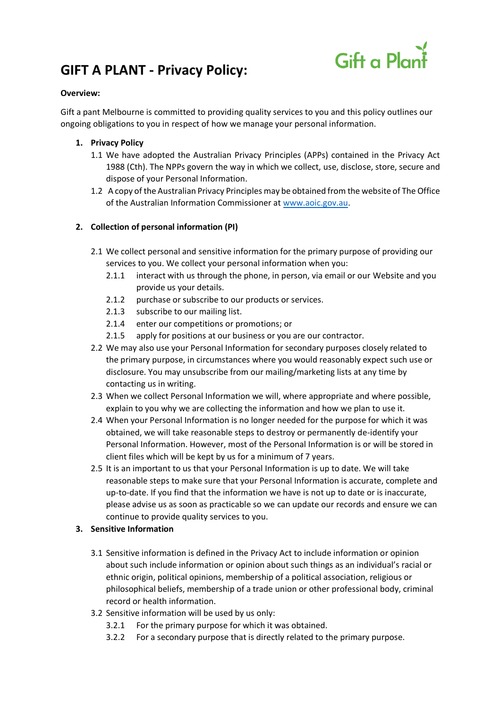# **GIFT A PLANT - Privacy Policy:**



### **Overview:**

Gift a pant Melbourne is committed to providing quality services to you and this policy outlines our ongoing obligations to you in respect of how we manage your personal information.

# **1. Privacy Policy**

- 1.1 We have adopted the Australian Privacy Principles (APPs) contained in the Privacy Act 1988 (Cth). The NPPs govern the way in which we collect, use, disclose, store, secure and dispose of your Personal Information.
- 1.2 A copy of the Australian Privacy Principles may be obtained from the website of The Office of the Australian Information Commissioner at [www.aoic.gov.au.](http://www.aoic.gov.au/)

# **2. Collection of personal information (PI)**

- 2.1 We collect personal and sensitive information for the primary purpose of providing our services to you. We collect your personal information when you:
	- 2.1.1 interact with us through the phone, in person, via email or our Website and you provide us your details.
	- 2.1.2 purchase or subscribe to our products or services.
	- 2.1.3 subscribe to our mailing list.
	- 2.1.4 enter our competitions or promotions; or
	- 2.1.5 apply for positions at our business or you are our contractor.
- 2.2 We may also use your Personal Information for secondary purposes closely related to the primary purpose, in circumstances where you would reasonably expect such use or disclosure. You may unsubscribe from our mailing/marketing lists at any time by contacting us in writing.
- 2.3 When we collect Personal Information we will, where appropriate and where possible, explain to you why we are collecting the information and how we plan to use it.
- 2.4 When your Personal Information is no longer needed for the purpose for which it was obtained, we will take reasonable steps to destroy or permanently de-identify your Personal Information. However, most of the Personal Information is or will be stored in client files which will be kept by us for a minimum of 7 years.
- 2.5 It is an important to us that your Personal Information is up to date. We will take reasonable steps to make sure that your Personal Information is accurate, complete and up-to-date. If you find that the information we have is not up to date or is inaccurate, please advise us as soon as practicable so we can update our records and ensure we can continue to provide quality services to you.

# **3. Sensitive Information**

- 3.1 Sensitive information is defined in the Privacy Act to include information or opinion about such include information or opinion about such things as an individual's racial or ethnic origin, political opinions, membership of a political association, religious or philosophical beliefs, membership of a trade union or other professional body, criminal record or health information.
- 3.2 Sensitive information will be used by us only:
	- 3.2.1 For the primary purpose for which it was obtained.
	- 3.2.2 For a secondary purpose that is directly related to the primary purpose.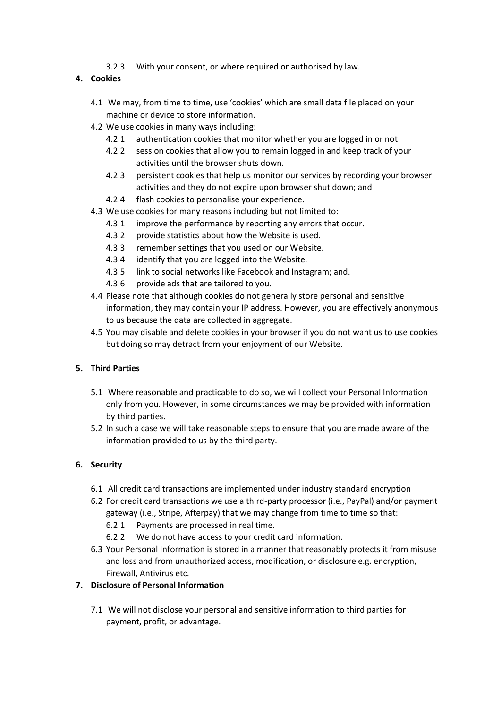- 3.2.3 With your consent, or where required or authorised by law.
- **4. Cookies**
	- 4.1 We may, from time to time, use 'cookies' which are small data file placed on your machine or device to store information.
	- 4.2 We use cookies in many ways including:
		- 4.2.1 authentication cookies that monitor whether you are logged in or not
		- 4.2.2 session cookies that allow you to remain logged in and keep track of your activities until the browser shuts down.
		- 4.2.3 persistent cookies that help us monitor our services by recording your browser activities and they do not expire upon browser shut down; and
		- 4.2.4 flash cookies to personalise your experience.
	- 4.3 We use cookies for many reasons including but not limited to:
		- 4.3.1 improve the performance by reporting any errors that occur.
		- 4.3.2 provide statistics about how the Website is used.
		- 4.3.3 remember settings that you used on our Website.
		- 4.3.4 identify that you are logged into the Website.
		- 4.3.5 link to social networks like Facebook and Instagram; and.
		- 4.3.6 provide ads that are tailored to you.
	- 4.4 Please note that although cookies do not generally store personal and sensitive information, they may contain your IP address. However, you are effectively anonymous to us because the data are collected in aggregate.
	- 4.5 You may disable and delete cookies in your browser if you do not want us to use cookies but doing so may detract from your enjoyment of our Website.

### **5. Third Parties**

- 5.1 Where reasonable and practicable to do so, we will collect your Personal Information only from you. However, in some circumstances we may be provided with information by third parties.
- 5.2 In such a case we will take reasonable steps to ensure that you are made aware of the information provided to us by the third party.

#### **6. Security**

- 6.1 All credit card transactions are implemented under industry standard encryption
- 6.2 For credit card transactions we use a third-party processor (i.e., PayPal) and/or payment gateway (i.e., Stripe, Afterpay) that we may change from time to time so that:
	- 6.2.1 Payments are processed in real time.
	- 6.2.2 We do not have access to your credit card information.
- 6.3 Your Personal Information is stored in a manner that reasonably protects it from misuse and loss and from unauthorized access, modification, or disclosure e.g. encryption, Firewall, Antivirus etc.

## **7. Disclosure of Personal Information**

7.1 We will not disclose your personal and sensitive information to third parties for payment, profit, or advantage.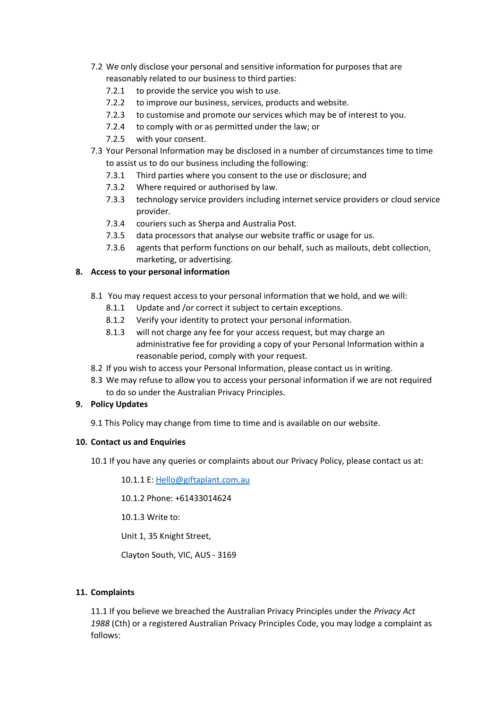- 7.2 We only disclose your personal and sensitive information for purposes that are reasonably related to our business to third parties:
	- 7.2.1 to provide the service you wish to use.
	- 7.2.2 to improve our business, services, products and website.
	- 7.2.3 to customise and promote our services which may be of interest to you.
	- 7.2.4 to comply with or as permitted under the law; or
	- 7.2.5 with your consent.
- 7.3 Your Personal Information may be disclosed in a number of circumstances time to time to assist us to do our business including the following:
	- 7.3.1 Third parties where you consent to the use or disclosure; and
	- 7.3.2 Where required or authorised by law.
	- 7.3.3 technology service providers including internet service providers or cloud service provider.
	- 7.3.4 couriers such as Sherpa and Australia Post.
	- 7.3.5 data processors that analyse our website traffic or usage for us.
	- 7.3.6 agents that perform functions on our behalf, such as mailouts, debt collection, marketing, or advertising.

## **8. Access to your personal information**

- 8.1 You may request access to your personal information that we hold, and we will:
	- 8.1.1 Update and /or correct it subject to certain exceptions.
	- 8.1.2 Verify your identity to protect your personal information.
	- 8.1.3 will not charge any fee for your access request, but may charge an administrative fee for providing a copy of your Personal Information within a reasonable period, comply with your request.
- 8.2 If you wish to access your Personal Information, please contact us in writing.
- 8.3 We may refuse to allow you to access your personal information if we are not required to do so under the Australian Privacy Principles.

#### **9. Policy Updates**

9.1 This Policy may change from time to time and is available on our website.

#### **10. Contact us and Enquiries**

10.1 If you have any queries or complaints about our Privacy Policy, please contact us at:

10.1.1 E: [Hello@giftaplant.com.au](mailto:Hello@giftaplant.com.au)

10.1.2 Phone: +61433014624

10.1.3 Write to:

Unit 1, 35 Knight Street,

Clayton South, VIC, AUS - 3169

#### **11. Complaints**

11.1 If you believe we breached the Australian Privacy Principles under the *Privacy Act 1988* (Cth) or a registered Australian Privacy Principles Code, you may lodge a complaint as follows: